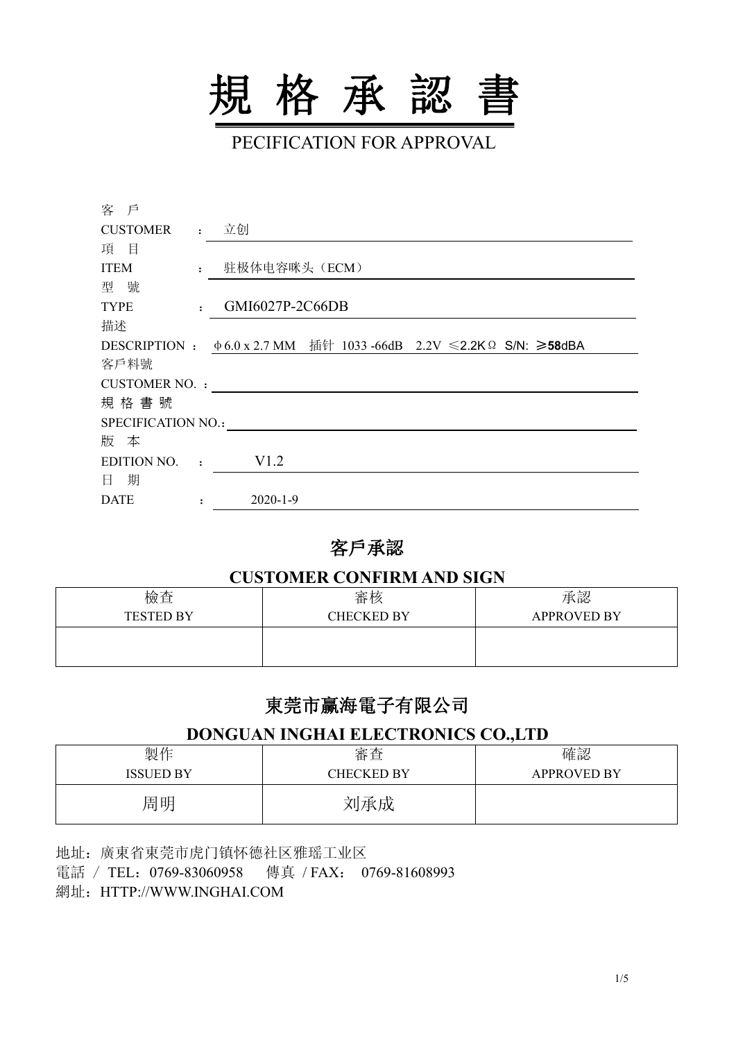

PECIFICATION FOR APPROVAL

| 客 戶                |              |                 |                                                                          |  |  |
|--------------------|--------------|-----------------|--------------------------------------------------------------------------|--|--|
| <b>CUSTOMER</b>    |              | : 立创            |                                                                          |  |  |
| 項目                 |              |                 |                                                                          |  |  |
| <b>ITEM</b>        | $\mathbf{r}$ | 驻极体电容咪头(ECM)    |                                                                          |  |  |
| 型號                 |              |                 |                                                                          |  |  |
| <b>TYPE</b>        | $\mathbf{r}$ | GMI6027P-2C66DB |                                                                          |  |  |
| 描述                 |              |                 |                                                                          |  |  |
|                    |              |                 | DESCRIPTION : $\phi$ 6.0 x 2.7 MM 插针 1033 -66dB 2.2V ≤2.2K Ω S/N: ≥58dBA |  |  |
| 客戶料號               |              |                 |                                                                          |  |  |
| CUSTOMER NO. :     |              |                 |                                                                          |  |  |
| 規格書號               |              |                 |                                                                          |  |  |
| SPECIFICATION NO.: |              |                 |                                                                          |  |  |
| 版 本                |              |                 |                                                                          |  |  |
| <b>EDITION NO.</b> | $\cdot$      | V1.2            |                                                                          |  |  |
| 日 期                |              |                 |                                                                          |  |  |
| <b>DATE</b>        |              | $2020 - 1 - 9$  |                                                                          |  |  |

## 客戶承認

#### **CUSTOMER CONFIRM AND SIGN**

| 檢查               | 審核                | 承認                 |
|------------------|-------------------|--------------------|
| <b>TESTED BY</b> | <b>CHECKED BY</b> | <b>APPROVED BY</b> |
|                  |                   |                    |
|                  |                   |                    |

# 東莞市赢海電子有限公司

### **DONGUAN INGHAI ELECTRONICS CO.,LTD**

| 製作               | 審査                | 確認                 |
|------------------|-------------------|--------------------|
| <b>ISSUED BY</b> | <b>CHECKED BY</b> | <b>APPROVED BY</b> |
| 周明               | 刘承成               |                    |

地址:廣東省東莞市虎门镇怀德社区雅瑶工业区 電話 / TEL:0769-83060958 傳真 /FAX: 0769-81608993 網址:HTTP://WWW.INGHAI.COM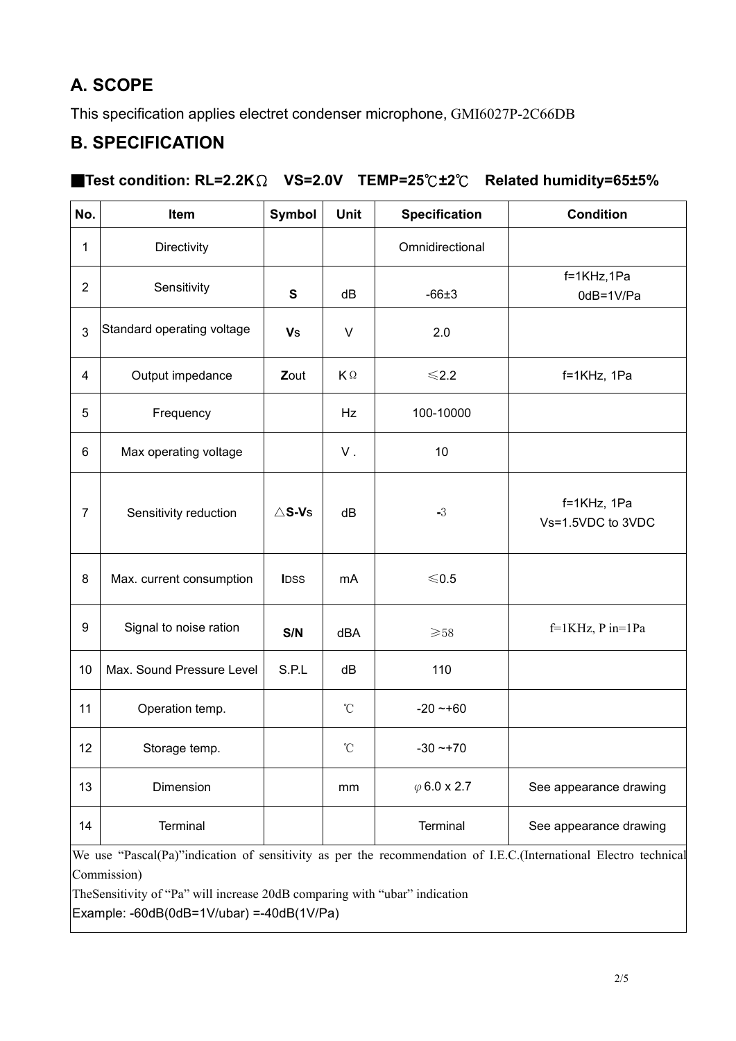# **A. SCOPE**

This specification applies electret condenser microphone, GMI6027P-2C66DB

## **B. SPECIFICATION**

### ■**Test condition: RL=2.2K**Ω **VS=2.0V TEMP=25**℃**±2**℃ **Related humidity=65±5%**

| No.            | Item                       | <b>Symbol</b>    | <b>Unit</b>       | <b>Specification</b> | <b>Condition</b>                                                                                                 |  |
|----------------|----------------------------|------------------|-------------------|----------------------|------------------------------------------------------------------------------------------------------------------|--|
| 1              | Directivity                |                  |                   | Omnidirectional      |                                                                                                                  |  |
| 2              | Sensitivity                | S                | dB                | $-66±3$              | f=1KHz,1Pa<br>0dB=1V/Pa                                                                                          |  |
| 3              | Standard operating voltage | <b>Vs</b>        | $\sf V$           | 2.0                  |                                                                                                                  |  |
| $\overline{4}$ | Output impedance           | Zout             | KΩ                | $≤2.2$               | f=1KHz, 1Pa                                                                                                      |  |
| 5              | Frequency                  |                  | Hz                | 100-10000            |                                                                                                                  |  |
| 6              | Max operating voltage      |                  | ${\sf V}$ .       | 10                   |                                                                                                                  |  |
| $\overline{7}$ | Sensitivity reduction      | $\triangle$ S-Vs | dB                | $-3$                 | f=1KHz, 1Pa<br>Vs=1.5VDC to 3VDC                                                                                 |  |
| 8              | Max. current consumption   | <b>IDSS</b>      | mA                | $\leqslant$ 0.5      |                                                                                                                  |  |
| 9              | Signal to noise ration     | S/N              | dBA               | ${\geq}58$           | $f=1KHz$ , P in=1Pa                                                                                              |  |
| 10             | Max. Sound Pressure Level  | S.P.L            | dB                | 110                  |                                                                                                                  |  |
| 11             | Operation temp.            |                  | $^\circ\!{\rm C}$ | $-20 - 60$           |                                                                                                                  |  |
| 12             | Storage temp.              |                  | $^\circ\!{\rm C}$ | $-30 - +70$          |                                                                                                                  |  |
| 13             | Dimension                  |                  | mm                | $\varphi$ 6.0 x 2.7  | See appearance drawing                                                                                           |  |
| 14             | Terminal                   |                  |                   | Terminal             | See appearance drawing                                                                                           |  |
|                |                            |                  |                   |                      | We use "Pascal(Pa)"indication of sensitivity as per the recommendation of I.E.C.(International Electro technical |  |

Commission)

TheSensitivity of "Pa" will increase 20dB comparing with "ubar" indication

 $\vert$ Example: -60dB(0dB=1V/ubar) =-40dB(1V/Pa)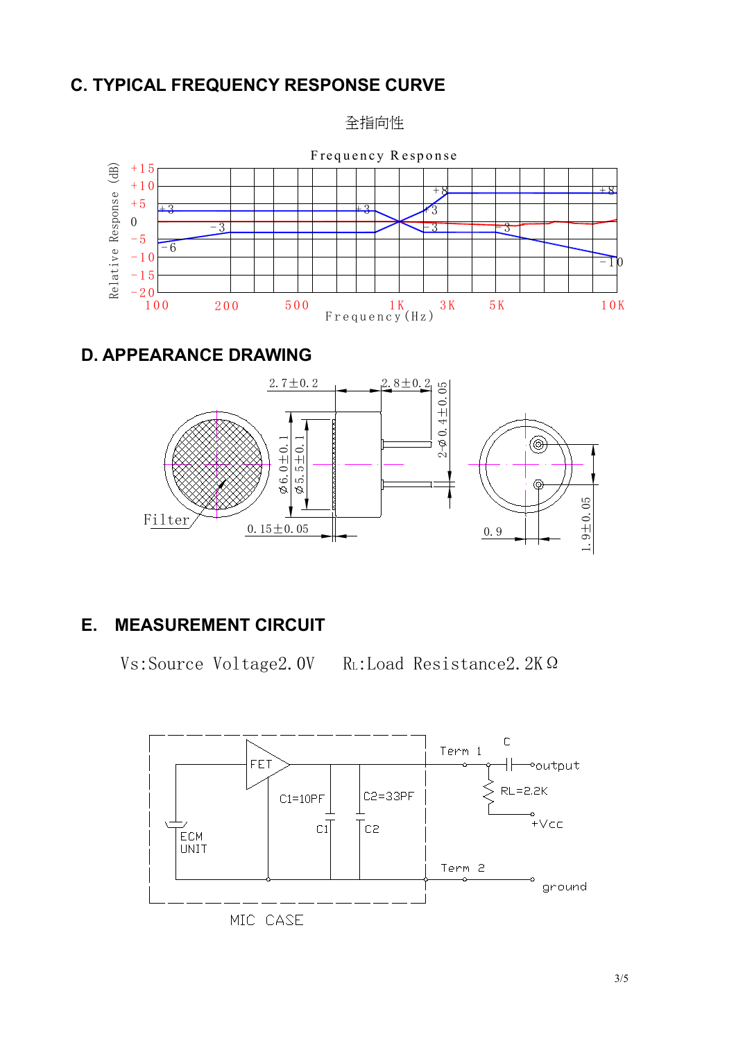## **C. TYPICAL FREQUENCY RESPONSE CURVE**

全指向性



## **D. APPEARANCE DRAWING**



## **E. MEASUREMENT CIRCUIT**

Vs:Source Voltage2.0V RL:Load Resistance2.2KΩ



MIC CASE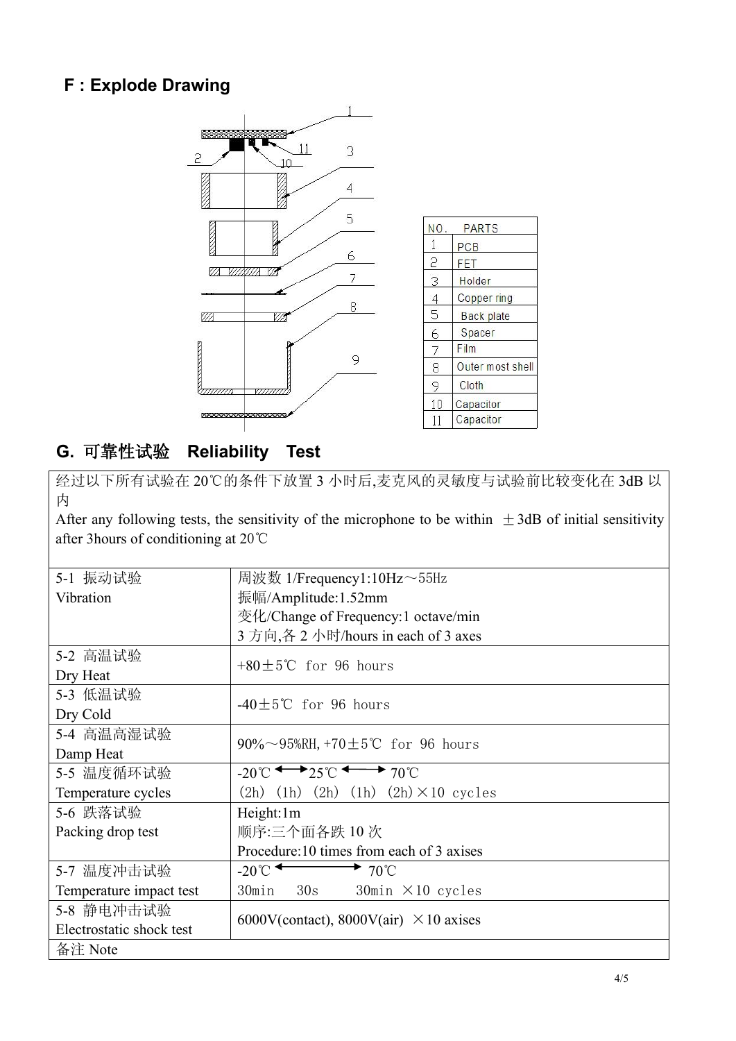## **F : Explode Drawing**



## **G.** 可靠性试验 **Reliability Test**

经过以下所有试验在 20℃的条件下放置 3 小时后,麦克风的灵敏度与试验前比较变化在 3dB 以 カイスト しゅうしょう しんしゅう しんしゅう しんしゅう しんしゅう しょうしゅう

After any following tests, the sensitivity of the microphone to be within  $\pm$ 3dB of initial sensitivity after 3hours of conditioning at 20℃

| 5-1 振动试验                 | 周波数 1/Frequency1:10Hz~55Hz                                                        |
|--------------------------|-----------------------------------------------------------------------------------|
| Vibration                | 振幅/Amplitude:1.52mm                                                               |
|                          | 变化/Change of Frequency:1 octave/min                                               |
|                          | 3 方向,各 2 小时/hours in each of 3 axes                                               |
| 5-2 高温试验                 | +80 $\pm$ 5°C for 96 hours                                                        |
| Dry Heat                 |                                                                                   |
| 5-3 低温试验                 | $-40\pm5$ °C for 96 hours                                                         |
| Dry Cold                 |                                                                                   |
| 5-4 高温高湿试验               |                                                                                   |
| Damp Heat                | 90%~95%RH, +70±5°C for 96 hours                                                   |
| 5-5 温度循环试验               | $-20^{\circ}$ C $\longleftrightarrow$ 25 $\circ$ $\longleftrightarrow$ 70 $\circ$ |
| Temperature cycles       | $(2h)$ $(1h)$ $(2h)$ $(1h)$ $(2h) \times 10$ cycles                               |
| 5-6 跌落试验                 | Height:1m                                                                         |
| Packing drop test        | 顺序:三个面各跌 10 次                                                                     |
|                          | Procedure: 10 times from each of 3 axises                                         |
| 5-7 温度冲击试验               | $-20^{\circ}$<br>$\rightarrow$ 70°C                                               |
| Temperature impact test  | 30min 30s<br>$30$ min $\times$ 10 cycles                                          |
| 5-8 静电冲击试验               |                                                                                   |
| Electrostatic shock test | 6000V(contact), 8000V(air) $\times$ 10 axises                                     |
| 备注 Note                  |                                                                                   |